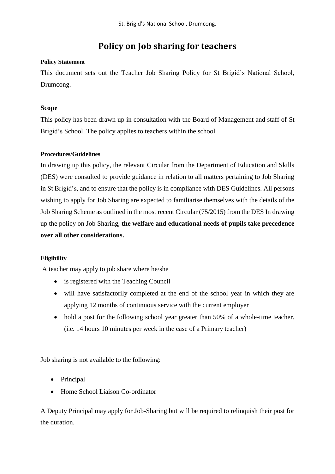# **Policy on Job sharing for teachers**

## **Policy Statement**

This document sets out the Teacher Job Sharing Policy for St Brigid's National School, Drumcong.

## **Scope**

This policy has been drawn up in consultation with the Board of Management and staff of St Brigid's School. The policy applies to teachers within the school.

## **Procedures/Guidelines**

In drawing up this policy, the relevant Circular from the Department of Education and Skills (DES) were consulted to provide guidance in relation to all matters pertaining to Job Sharing in St Brigid's, and to ensure that the policy is in compliance with DES Guidelines. All persons wishing to apply for Job Sharing are expected to familiarise themselves with the details of the Job Sharing Scheme as outlined in the most recent Circular (75/2015) from the DES In drawing up the policy on Job Sharing, **the welfare and educational needs of pupils take precedence over all other considerations.** 

## **Eligibility**

A teacher may apply to job share where he/she

- is registered with the Teaching Council
- will have satisfactorily completed at the end of the school year in which they are applying 12 months of continuous service with the current employer
- hold a post for the following school year greater than 50% of a whole-time teacher. (i.e. 14 hours 10 minutes per week in the case of a Primary teacher)

Job sharing is not available to the following:

- Principal
- Home School Liaison Co-ordinator

A Deputy Principal may apply for Job-Sharing but will be required to relinquish their post for the duration.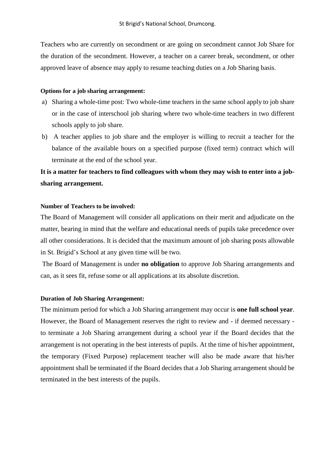Teachers who are currently on secondment or are going on secondment cannot Job Share for the duration of the secondment. However, a teacher on a career break, secondment, or other approved leave of absence may apply to resume teaching duties on a Job Sharing basis.

#### **Options for a job sharing arrangement:**

- a) Sharing a whole-time post: Two whole-time teachers in the same school apply to job share or in the case of interschool job sharing where two whole-time teachers in two different schools apply to job share.
- b) A teacher applies to job share and the employer is willing to recruit a teacher for the balance of the available hours on a specified purpose (fixed term) contract which will terminate at the end of the school year.

## **It is a matter for teachers to find colleagues with whom they may wish to enter into a jobsharing arrangement.**

## **Number of Teachers to be involved:**

The Board of Management will consider all applications on their merit and adjudicate on the matter, bearing in mind that the welfare and educational needs of pupils take precedence over all other considerations. It is decided that the maximum amount of job sharing posts allowable in St. Brigid's School at any given time will be two.

The Board of Management is under **no obligation** to approve Job Sharing arrangements and can, as it sees fit, refuse some or all applications at its absolute discretion.

#### **Duration of Job Sharing Arrangement:**

The minimum period for which a Job Sharing arrangement may occur is **one full school year**. However, the Board of Management reserves the right to review and - if deemed necessary to terminate a Job Sharing arrangement during a school year if the Board decides that the arrangement is not operating in the best interests of pupils. At the time of his/her appointment, the temporary (Fixed Purpose) replacement teacher will also be made aware that his/her appointment shall be terminated if the Board decides that a Job Sharing arrangement should be terminated in the best interests of the pupils.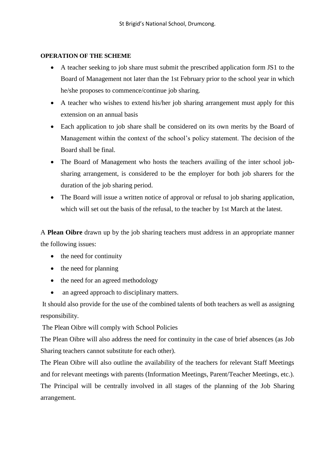## **OPERATION OF THE SCHEME**

- A teacher seeking to job share must submit the prescribed application form JS1 to the Board of Management not later than the 1st February prior to the school year in which he/she proposes to commence/continue job sharing.
- A teacher who wishes to extend his/her job sharing arrangement must apply for this extension on an annual basis
- Each application to job share shall be considered on its own merits by the Board of Management within the context of the school's policy statement. The decision of the Board shall be final.
- The Board of Management who hosts the teachers availing of the inter school jobsharing arrangement, is considered to be the employer for both job sharers for the duration of the job sharing period.
- The Board will issue a written notice of approval or refusal to job sharing application, which will set out the basis of the refusal, to the teacher by 1st March at the latest.

A **Plean Oibre** drawn up by the job sharing teachers must address in an appropriate manner the following issues:

- $\bullet$  the need for continuity
- $\bullet$  the need for planning
- the need for an agreed methodology
- an agreed approach to disciplinary matters.

It should also provide for the use of the combined talents of both teachers as well as assigning responsibility.

The Plean Oibre will comply with School Policies

The Plean Oibre will also address the need for continuity in the case of brief absences (as Job Sharing teachers cannot substitute for each other).

The Plean Oibre will also outline the availability of the teachers for relevant Staff Meetings and for relevant meetings with parents (Information Meetings, Parent/Teacher Meetings, etc.). The Principal will be centrally involved in all stages of the planning of the Job Sharing arrangement.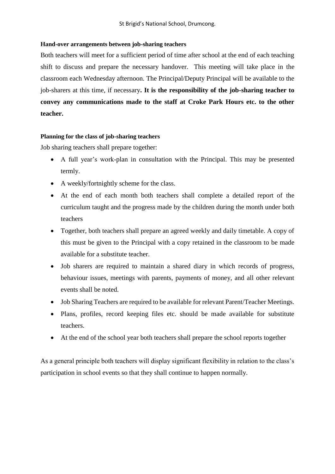#### **Hand-over arrangements between job-sharing teachers**

Both teachers will meet for a sufficient period of time after school at the end of each teaching shift to discuss and prepare the necessary handover. This meeting will take place in the classroom each Wednesday afternoon. The Principal/Deputy Principal will be available to the job-sharers at this time, if necessary**. It is the responsibility of the job-sharing teacher to convey any communications made to the staff at Croke Park Hours etc. to the other teacher.**

#### **Planning for the class of job-sharing teachers**

Job sharing teachers shall prepare together:

- A full year's work-plan in consultation with the Principal. This may be presented termly.
- A weekly/fortnightly scheme for the class.
- At the end of each month both teachers shall complete a detailed report of the curriculum taught and the progress made by the children during the month under both teachers
- Together, both teachers shall prepare an agreed weekly and daily timetable. A copy of this must be given to the Principal with a copy retained in the classroom to be made available for a substitute teacher.
- Job sharers are required to maintain a shared diary in which records of progress, behaviour issues, meetings with parents, payments of money, and all other relevant events shall be noted.
- Job Sharing Teachers are required to be available for relevant Parent/Teacher Meetings.
- Plans, profiles, record keeping files etc. should be made available for substitute teachers.
- At the end of the school year both teachers shall prepare the school reports together

As a general principle both teachers will display significant flexibility in relation to the class's participation in school events so that they shall continue to happen normally.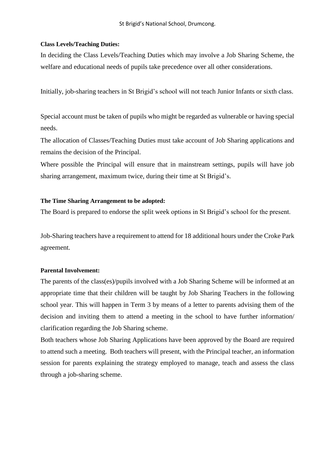#### **Class Levels/Teaching Duties:**

In deciding the Class Levels/Teaching Duties which may involve a Job Sharing Scheme, the welfare and educational needs of pupils take precedence over all other considerations.

Initially, job-sharing teachers in St Brigid's school will not teach Junior Infants or sixth class.

Special account must be taken of pupils who might be regarded as vulnerable or having special needs.

The allocation of Classes/Teaching Duties must take account of Job Sharing applications and remains the decision of the Principal.

Where possible the Principal will ensure that in mainstream settings, pupils will have job sharing arrangement, maximum twice, during their time at St Brigid's.

#### **The Time Sharing Arrangement to be adopted:**

The Board is prepared to endorse the split week options in St Brigid's school for the present.

Job-Sharing teachers have a requirement to attend for 18 additional hours under the Croke Park agreement.

#### **Parental Involvement:**

The parents of the class(es)/pupils involved with a Job Sharing Scheme will be informed at an appropriate time that their children will be taught by Job Sharing Teachers in the following school year. This will happen in Term 3 by means of a letter to parents advising them of the decision and inviting them to attend a meeting in the school to have further information/ clarification regarding the Job Sharing scheme.

Both teachers whose Job Sharing Applications have been approved by the Board are required to attend such a meeting. Both teachers will present, with the Principal teacher, an information session for parents explaining the strategy employed to manage, teach and assess the class through a job-sharing scheme.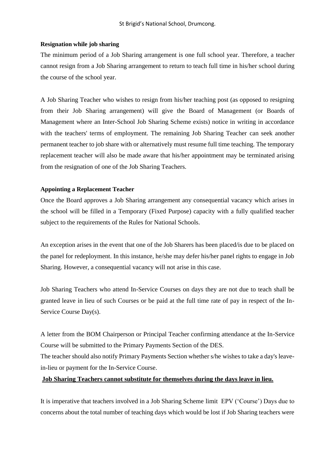#### **Resignation while job sharing**

The minimum period of a Job Sharing arrangement is one full school year. Therefore, a teacher cannot resign from a Job Sharing arrangement to return to teach full time in his/her school during the course of the school year.

A Job Sharing Teacher who wishes to resign from his/her teaching post (as opposed to resigning from their Job Sharing arrangement) will give the Board of Management (or Boards of Management where an Inter-School Job Sharing Scheme exists) notice in writing in accordance with the teachers' terms of employment. The remaining Job Sharing Teacher can seek another permanent teacher to job share with or alternatively must resume full time teaching. The temporary replacement teacher will also be made aware that his/her appointment may be terminated arising from the resignation of one of the Job Sharing Teachers.

#### **Appointing a Replacement Teacher**

Once the Board approves a Job Sharing arrangement any consequential vacancy which arises in the school will be filled in a Temporary (Fixed Purpose) capacity with a fully qualified teacher subject to the requirements of the Rules for National Schools.

An exception arises in the event that one of the Job Sharers has been placed/is due to be placed on the panel for redeployment. In this instance, he/she may defer his/her panel rights to engage in Job Sharing. However, a consequential vacancy will not arise in this case.

Job Sharing Teachers who attend In-Service Courses on days they are not due to teach shall be granted leave in lieu of such Courses or be paid at the full time rate of pay in respect of the In-Service Course Day(s).

A letter from the BOM Chairperson or Principal Teacher confirming attendance at the In-Service Course will be submitted to the Primary Payments Section of the DES.

The teacher should also notify Primary Payments Section whether s/he wishes to take a day's leavein-lieu or payment for the In-Service Course.

## **Job Sharing Teachers cannot substitute for themselves during the days leave in lieu.**

It is imperative that teachers involved in a Job Sharing Scheme limit EPV ('Course') Days due to concerns about the total number of teaching days which would be lost if Job Sharing teachers were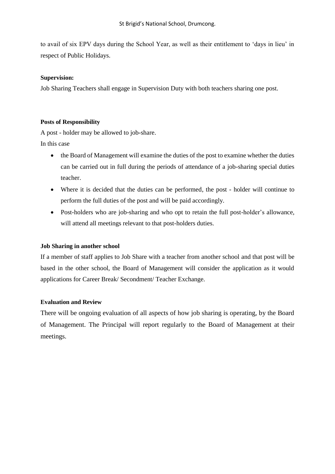to avail of six EPV days during the School Year, as well as their entitlement to 'days in lieu' in respect of Public Holidays.

#### **Supervision:**

Job Sharing Teachers shall engage in Supervision Duty with both teachers sharing one post.

#### **Posts of Responsibility**

A post - holder may be allowed to job-share.

In this case

- the Board of Management will examine the duties of the post to examine whether the duties can be carried out in full during the periods of attendance of a job-sharing special duties teacher.
- Where it is decided that the duties can be performed, the post holder will continue to perform the full duties of the post and will be paid accordingly.
- Post-holders who are job-sharing and who opt to retain the full post-holder's allowance, will attend all meetings relevant to that post-holders duties.

#### **Job Sharing in another school**

If a member of staff applies to Job Share with a teacher from another school and that post will be based in the other school, the Board of Management will consider the application as it would applications for Career Break/ Secondment/ Teacher Exchange.

#### **Evaluation and Review**

There will be ongoing evaluation of all aspects of how job sharing is operating, by the Board of Management. The Principal will report regularly to the Board of Management at their meetings.